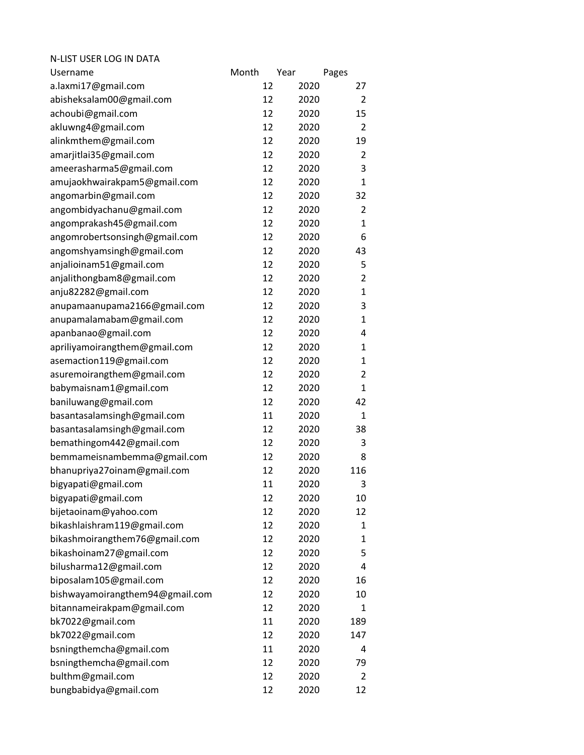| N-LIST USER LOG IN DATA         |       |      |      |                |
|---------------------------------|-------|------|------|----------------|
| Username                        | Month | Year |      | Pages          |
| a.laxmi17@gmail.com             |       | 12   | 2020 | 27             |
| abisheksalam00@gmail.com        |       | 12   | 2020 | $\overline{2}$ |
| achoubi@gmail.com               |       | 12   | 2020 | 15             |
| akluwng4@gmail.com              |       | 12   | 2020 | 2              |
| alinkmthem@gmail.com            |       | 12   | 2020 | 19             |
| amarjitlai35@gmail.com          |       | 12   | 2020 | $\overline{2}$ |
| ameerasharma5@gmail.com         |       | 12   | 2020 | 3              |
| amujaokhwairakpam5@gmail.com    |       | 12   | 2020 | $\mathbf{1}$   |
| angomarbin@gmail.com            |       | 12   | 2020 | 32             |
| angombidyachanu@gmail.com       |       | 12   | 2020 | $\overline{2}$ |
| angomprakash45@gmail.com        |       | 12   | 2020 | 1              |
| angomrobertsonsingh@gmail.com   |       | 12   | 2020 | 6              |
| angomshyamsingh@gmail.com       |       | 12   | 2020 | 43             |
| anjalioinam51@gmail.com         |       | 12   | 2020 | 5              |
| anjalithongbam8@gmail.com       |       | 12   | 2020 | $\overline{2}$ |
| anju82282@gmail.com             |       | 12   | 2020 | 1              |
| anupamaanupama2166@gmail.com    |       | 12   | 2020 | 3              |
| anupamalamabam@gmail.com        |       | 12   | 2020 | $\mathbf{1}$   |
| apanbanao@gmail.com             |       | 12   | 2020 | 4              |
| apriliyamoirangthem@gmail.com   |       | 12   | 2020 | 1              |
| asemaction119@gmail.com         |       | 12   | 2020 | 1              |
| asuremoirangthem@gmail.com      |       | 12   | 2020 | $\overline{2}$ |
| babymaisnam1@gmail.com          |       | 12   | 2020 | $\mathbf{1}$   |
| baniluwang@gmail.com            |       | 12   | 2020 | 42             |
| basantasalamsingh@gmail.com     |       | 11   | 2020 | 1              |
| basantasalamsingh@gmail.com     |       | 12   | 2020 | 38             |
| bemathingom442@gmail.com        |       | 12   | 2020 | 3              |
| bemmameisnambemma@gmail.com     |       | 12   | 2020 | 8              |
| bhanupriya27oinam@gmail.com     |       | 12   | 2020 | 116            |
| bigyapati@gmail.com             |       | 11   | 2020 | 3              |
| bigyapati@gmail.com             |       | 12   | 2020 | 10             |
| bijetaoinam@yahoo.com           |       | 12   | 2020 | 12             |
| bikashlaishram119@gmail.com     |       | 12   | 2020 | 1              |
| bikashmoirangthem76@gmail.com   |       | 12   | 2020 | 1              |
| bikashoinam27@gmail.com         |       | 12   | 2020 | 5              |
| bilusharma12@gmail.com          |       | 12   | 2020 | 4              |
| biposalam105@gmail.com          |       | 12   | 2020 | 16             |
| bishwayamoirangthem94@gmail.com |       | 12   | 2020 | 10             |
| bitannameirakpam@gmail.com      |       | 12   | 2020 | 1              |
| bk7022@gmail.com                |       | 11   | 2020 | 189            |
| bk7022@gmail.com                |       | 12   | 2020 | 147            |
| bsningthemcha@gmail.com         |       | 11   | 2020 | 4              |
| bsningthemcha@gmail.com         |       | 12   | 2020 | 79             |
| bulthm@gmail.com                |       | 12   | 2020 | 2              |
| bungbabidya@gmail.com           |       | 12   | 2020 | 12             |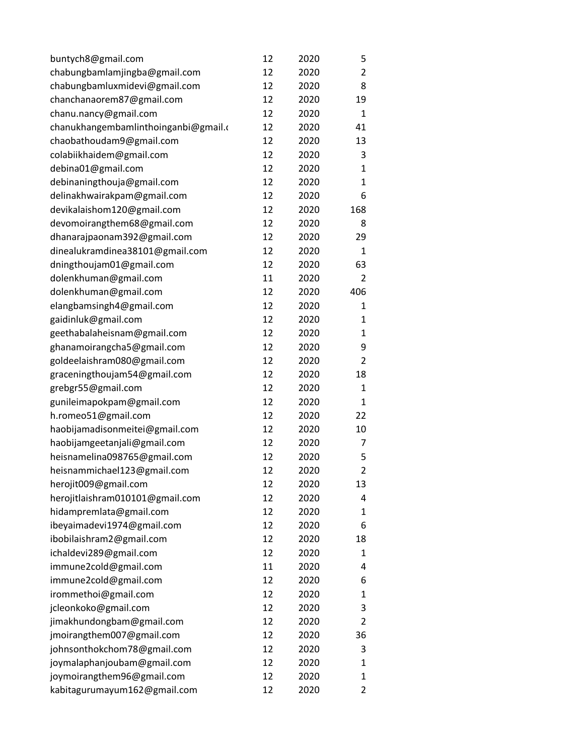| buntych8@gmail.com                   | 12 | 2020 | 5              |
|--------------------------------------|----|------|----------------|
| chabungbamlamjingba@gmail.com        | 12 | 2020 | $\overline{2}$ |
| chabungbamluxmidevi@gmail.com        | 12 | 2020 | 8              |
| chanchanaorem87@gmail.com            | 12 | 2020 | 19             |
| chanu.nancy@gmail.com                | 12 | 2020 | $\mathbf{1}$   |
| chanukhangembamlinthoinganbi@gmail.c | 12 | 2020 | 41             |
| chaobathoudam9@gmail.com             | 12 | 2020 | 13             |
| colabiikhaidem@gmail.com             | 12 | 2020 | 3              |
| debina01@gmail.com                   | 12 | 2020 | 1              |
| debinaningthouja@gmail.com           | 12 | 2020 | $\mathbf{1}$   |
| delinakhwairakpam@gmail.com          | 12 | 2020 | 6              |
| devikalaishom120@gmail.com           | 12 | 2020 | 168            |
| devomoirangthem68@gmail.com          | 12 | 2020 | 8              |
| dhanarajpaonam392@gmail.com          | 12 | 2020 | 29             |
| dinealukramdinea38101@gmail.com      | 12 | 2020 | $\mathbf{1}$   |
| dningthoujam01@gmail.com             | 12 | 2020 | 63             |
| dolenkhuman@gmail.com                | 11 | 2020 | 2              |
| dolenkhuman@gmail.com                | 12 | 2020 | 406            |
| elangbamsingh4@gmail.com             | 12 | 2020 | 1              |
| gaidinluk@gmail.com                  | 12 | 2020 | 1              |
| geethabalaheisnam@gmail.com          | 12 | 2020 | 1              |
| ghanamoirangcha5@gmail.com           | 12 | 2020 | 9              |
| goldeelaishram080@gmail.com          | 12 | 2020 | $\overline{2}$ |
| graceningthoujam54@gmail.com         | 12 | 2020 | 18             |
| grebgr55@gmail.com                   | 12 | 2020 | $\mathbf{1}$   |
| gunileimapokpam@gmail.com            | 12 | 2020 | 1              |
| h.romeo51@gmail.com                  | 12 | 2020 | 22             |
| haobijamadisonmeitei@gmail.com       | 12 | 2020 | 10             |
| haobijamgeetanjali@gmail.com         | 12 | 2020 | 7              |
| heisnamelina098765@gmail.com         | 12 | 2020 | 5              |
| heisnammichael123@gmail.com          | 12 | 2020 | $\overline{2}$ |
| herojit009@gmail.com                 | 12 | 2020 | 13             |
| herojitlaishram010101@gmail.com      | 12 | 2020 | 4              |
| hidampremlata@gmail.com              | 12 | 2020 | 1              |
| ibeyaimadevi1974@gmail.com           | 12 | 2020 | 6              |
| ibobilaishram2@gmail.com             | 12 | 2020 | 18             |
| ichaldevi289@gmail.com               | 12 | 2020 | 1              |
| immune2cold@gmail.com                | 11 | 2020 | 4              |
| immune2cold@gmail.com                | 12 | 2020 | 6              |
| irommethoi@gmail.com                 | 12 | 2020 | 1              |
| jcleonkoko@gmail.com                 | 12 | 2020 | 3              |
| jimakhundongbam@gmail.com            | 12 | 2020 | $\overline{2}$ |
| jmoirangthem007@gmail.com            | 12 | 2020 | 36             |
| johnsonthokchom78@gmail.com          | 12 | 2020 | 3              |
| joymalaphanjoubam@gmail.com          | 12 | 2020 | 1              |
| joymoirangthem96@gmail.com           | 12 | 2020 | 1              |
| kabitagurumayum162@gmail.com         | 12 | 2020 | 2              |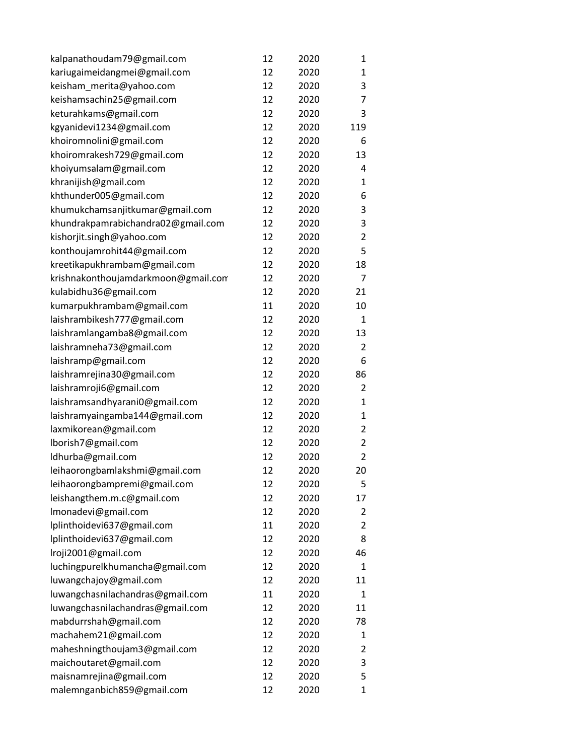| kalpanathoudam79@gmail.com          | 12 | 2020 | 1              |
|-------------------------------------|----|------|----------------|
| kariugaimeidangmei@gmail.com        | 12 | 2020 | 1              |
| keisham_merita@yahoo.com            | 12 | 2020 | 3              |
| keishamsachin25@gmail.com           | 12 | 2020 | 7              |
| keturahkams@gmail.com               | 12 | 2020 | 3              |
| kgyanidevi1234@gmail.com            | 12 | 2020 | 119            |
| khoiromnolini@gmail.com             | 12 | 2020 | 6              |
| khoiromrakesh729@gmail.com          | 12 | 2020 | 13             |
| khoiyumsalam@gmail.com              | 12 | 2020 | 4              |
| khranijish@gmail.com                | 12 | 2020 | $\mathbf{1}$   |
| khthunder005@gmail.com              | 12 | 2020 | 6              |
| khumukchamsanjitkumar@gmail.com     | 12 | 2020 | 3              |
| khundrakpamrabichandra02@gmail.com  | 12 | 2020 | 3              |
| kishorjit.singh@yahoo.com           | 12 | 2020 | $\overline{2}$ |
| konthoujamrohit44@gmail.com         | 12 | 2020 | 5              |
| kreetikapukhrambam@gmail.com        | 12 | 2020 | 18             |
| krishnakonthoujamdarkmoon@gmail.com | 12 | 2020 | 7              |
| kulabidhu36@gmail.com               | 12 | 2020 | 21             |
| kumarpukhrambam@gmail.com           | 11 | 2020 | 10             |
| laishrambikesh777@gmail.com         | 12 | 2020 | $\mathbf{1}$   |
| laishramlangamba8@gmail.com         | 12 | 2020 | 13             |
| laishramneha73@gmail.com            | 12 | 2020 | $\overline{2}$ |
| laishramp@gmail.com                 | 12 | 2020 | 6              |
| laishramrejina30@gmail.com          | 12 | 2020 | 86             |
| laishramroji6@gmail.com             | 12 | 2020 | 2              |
| laishramsandhyarani0@gmail.com      | 12 | 2020 | 1              |
| laishramyaingamba144@gmail.com      | 12 | 2020 | 1              |
| laxmikorean@gmail.com               | 12 | 2020 | 2              |
| lborish7@gmail.com                  | 12 | 2020 | $\overline{2}$ |
| ldhurba@gmail.com                   | 12 | 2020 | $\overline{2}$ |
| leihaorongbamlakshmi@gmail.com      | 12 | 2020 | 20             |
| leihaorongbampremi@gmail.com        | 12 | 2020 | 5              |
| leishangthem.m.c@gmail.com          | 12 | 2020 | 17             |
| Imonadevi@gmail.com                 | 12 | 2020 | 2              |
| lplinthoidevi637@gmail.com          | 11 | 2020 | $\overline{2}$ |
| lplinthoidevi637@gmail.com          | 12 | 2020 | 8              |
| Iroji2001@gmail.com                 | 12 | 2020 | 46             |
| luchingpurelkhumancha@gmail.com     | 12 | 2020 | 1              |
| luwangchajoy@gmail.com              | 12 | 2020 | 11             |
| luwangchasnilachandras@gmail.com    | 11 | 2020 | $\mathbf{1}$   |
| luwangchasnilachandras@gmail.com    | 12 | 2020 | 11             |
| mabdurrshah@gmail.com               | 12 | 2020 | 78             |
| machahem21@gmail.com                | 12 | 2020 | 1              |
| maheshningthoujam3@gmail.com        | 12 | 2020 | $\overline{2}$ |
| maichoutaret@gmail.com              | 12 | 2020 | 3              |
| maisnamrejina@gmail.com             | 12 | 2020 | 5              |
| malemnganbich859@gmail.com          | 12 | 2020 | $\mathbf{1}$   |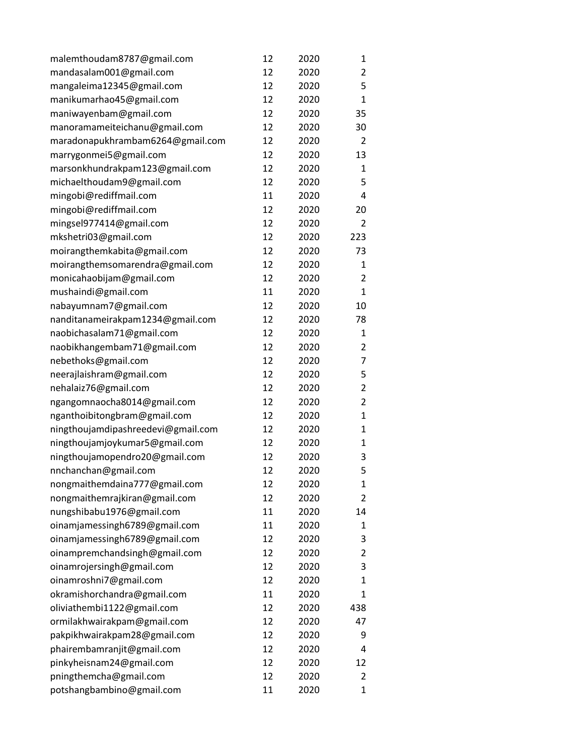| malemthoudam8787@gmail.com         | 12 | 2020 | 1              |
|------------------------------------|----|------|----------------|
| mandasalam001@gmail.com            | 12 | 2020 | $\overline{2}$ |
| mangaleima12345@gmail.com          | 12 | 2020 | 5              |
| manikumarhao45@gmail.com           | 12 | 2020 | $\mathbf{1}$   |
| maniwayenbam@gmail.com             | 12 | 2020 | 35             |
| manoramameiteichanu@gmail.com      | 12 | 2020 | 30             |
| maradonapukhrambam6264@gmail.com   | 12 | 2020 | 2              |
| marrygonmei5@gmail.com             | 12 | 2020 | 13             |
| marsonkhundrakpam123@gmail.com     | 12 | 2020 | 1              |
| michaelthoudam9@gmail.com          | 12 | 2020 | 5              |
| mingobi@rediffmail.com             | 11 | 2020 | 4              |
| mingobi@rediffmail.com             | 12 | 2020 | 20             |
| mingsel977414@gmail.com            | 12 | 2020 | 2              |
| mkshetri03@gmail.com               | 12 | 2020 | 223            |
| moirangthemkabita@gmail.com        | 12 | 2020 | 73             |
| moirangthemsomarendra@gmail.com    | 12 | 2020 | 1              |
| monicahaobijam@gmail.com           | 12 | 2020 | $\overline{2}$ |
| mushaindi@gmail.com                | 11 | 2020 | 1              |
| nabayumnam7@gmail.com              | 12 | 2020 | 10             |
| nanditanameirakpam1234@gmail.com   | 12 | 2020 | 78             |
| naobichasalam71@gmail.com          | 12 | 2020 | 1              |
| naobikhangembam71@gmail.com        | 12 | 2020 | $\overline{2}$ |
| nebethoks@gmail.com                | 12 | 2020 | 7              |
| neerajlaishram@gmail.com           | 12 | 2020 | 5              |
| nehalaiz76@gmail.com               | 12 | 2020 | $\overline{2}$ |
| ngangomnaocha8014@gmail.com        | 12 | 2020 | $\overline{2}$ |
| nganthoibitongbram@gmail.com       | 12 | 2020 | $\mathbf{1}$   |
| ningthoujamdipashreedevi@gmail.com | 12 | 2020 | 1              |
| ningthoujamjoykumar5@gmail.com     | 12 | 2020 | 1              |
| ningthoujamopendro20@gmail.com     | 12 | 2020 | 3              |
| nnchanchan@gmail.com               | 12 | 2020 | 5              |
| nongmaithemdaina777@gmail.com      | 12 | 2020 | 1              |
| nongmaithemrajkiran@gmail.com      | 12 | 2020 | 2              |
| nungshibabu1976@gmail.com          | 11 | 2020 | 14             |
| oinamjamessingh6789@gmail.com      | 11 | 2020 | 1              |
| oinamjamessingh6789@gmail.com      | 12 | 2020 | 3              |
| oinampremchandsingh@gmail.com      | 12 | 2020 | $\overline{2}$ |
| oinamrojersingh@gmail.com          | 12 | 2020 | 3              |
| oinamroshni7@gmail.com             | 12 | 2020 | 1              |
| okramishorchandra@gmail.com        | 11 | 2020 | $\mathbf{1}$   |
| oliviathembi1122@gmail.com         | 12 | 2020 | 438            |
| ormilakhwairakpam@gmail.com        | 12 | 2020 | 47             |
| pakpikhwairakpam28@gmail.com       | 12 | 2020 | 9              |
| phairembamranjit@gmail.com         | 12 | 2020 | 4              |
| pinkyheisnam24@gmail.com           | 12 | 2020 | 12             |
| pningthemcha@gmail.com             | 12 | 2020 | 2              |
| potshangbambino@gmail.com          | 11 | 2020 | $\mathbf{1}$   |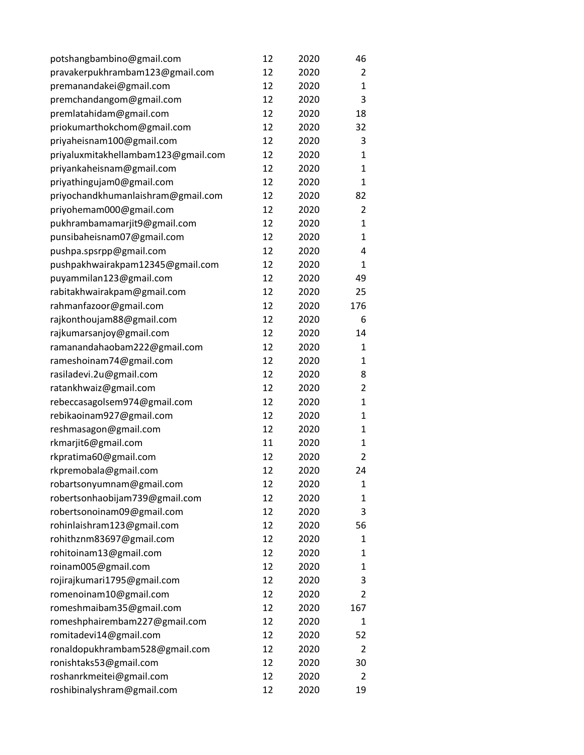| potshangbambino@gmail.com           | 12 | 2020 | 46           |
|-------------------------------------|----|------|--------------|
| pravakerpukhrambam123@gmail.com     | 12 | 2020 | 2            |
| premanandakei@gmail.com             | 12 | 2020 | 1            |
| premchandangom@gmail.com            | 12 | 2020 | 3            |
| premlatahidam@gmail.com             | 12 | 2020 | 18           |
| priokumarthokchom@gmail.com         | 12 | 2020 | 32           |
| priyaheisnam100@gmail.com           | 12 | 2020 | 3            |
| priyaluxmitakhellambam123@gmail.com | 12 | 2020 | 1            |
| priyankaheisnam@gmail.com           | 12 | 2020 | $\mathbf{1}$ |
| priyathingujam0@gmail.com           | 12 | 2020 | $\mathbf{1}$ |
| priyochandkhumanlaishram@gmail.com  | 12 | 2020 | 82           |
| priyohemam000@gmail.com             | 12 | 2020 | 2            |
| pukhrambamamarjit9@gmail.com        | 12 | 2020 | 1            |
| punsibaheisnam07@gmail.com          | 12 | 2020 | $\mathbf{1}$ |
| pushpa.spsrpp@gmail.com             | 12 | 2020 | 4            |
| pushpakhwairakpam12345@gmail.com    | 12 | 2020 | 1            |
| puyammilan123@gmail.com             | 12 | 2020 | 49           |
| rabitakhwairakpam@gmail.com         | 12 | 2020 | 25           |
| rahmanfazoor@gmail.com              | 12 | 2020 | 176          |
| rajkonthoujam88@gmail.com           | 12 | 2020 | 6            |
| rajkumarsanjoy@gmail.com            | 12 | 2020 | 14           |
| ramanandahaobam222@gmail.com        | 12 | 2020 | 1            |
| rameshoinam74@gmail.com             | 12 | 2020 | 1            |
| rasiladevi.2u@gmail.com             | 12 | 2020 | 8            |
| ratankhwaiz@gmail.com               | 12 | 2020 | 2            |
| rebeccasagolsem974@gmail.com        | 12 | 2020 | 1            |
| rebikaoinam927@gmail.com            | 12 | 2020 | 1            |
| reshmasagon@gmail.com               | 12 | 2020 | 1            |
| rkmarjit6@gmail.com                 | 11 | 2020 | 1            |
| rkpratima60@gmail.com               | 12 | 2020 | 2            |
| rkpremobala@gmail.com               | 12 | 2020 | 24           |
| robartsonyumnam@gmail.com           | 12 | 2020 | 1            |
| robertsonhaobijam739@gmail.com      | 12 | 2020 | 1            |
| robertsonoinam09@gmail.com          | 12 | 2020 | 3            |
| rohinlaishram123@gmail.com          | 12 | 2020 | 56           |
| rohithznm83697@gmail.com            | 12 | 2020 | 1            |
| rohitoinam13@gmail.com              | 12 | 2020 | 1            |
| roinam005@gmail.com                 | 12 | 2020 | 1            |
| rojirajkumari1795@gmail.com         | 12 | 2020 | 3            |
| romenoinam10@gmail.com              | 12 | 2020 | 2            |
| romeshmaibam35@gmail.com            | 12 | 2020 | 167          |
| romeshphairembam227@gmail.com       | 12 | 2020 | 1            |
| romitadevi14@gmail.com              | 12 | 2020 | 52           |
| ronaldopukhrambam528@gmail.com      | 12 | 2020 | 2            |
| ronishtaks53@gmail.com              | 12 | 2020 | 30           |
| roshanrkmeitei@gmail.com            | 12 | 2020 | 2            |
| roshibinalyshram@gmail.com          | 12 | 2020 | 19           |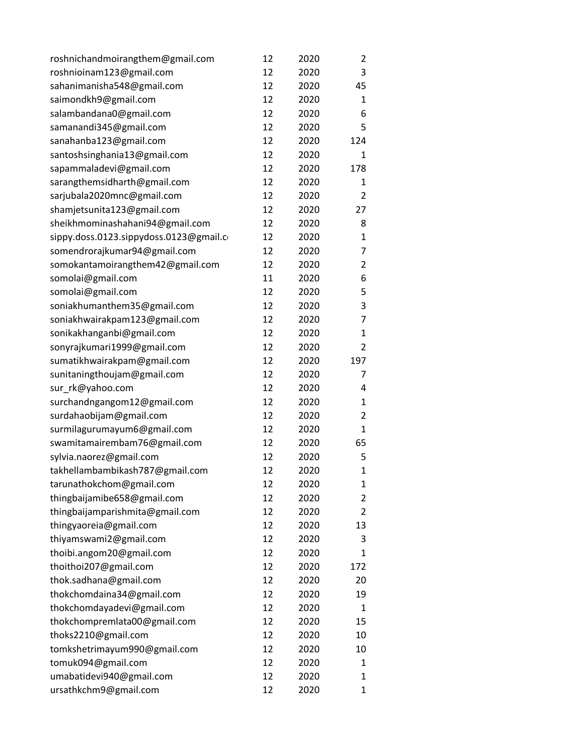| roshnichandmoirangthem@gmail.com        | 12 | 2020 | 2              |
|-----------------------------------------|----|------|----------------|
| roshnioinam123@gmail.com                | 12 | 2020 | 3              |
| sahanimanisha548@gmail.com              | 12 | 2020 | 45             |
| saimondkh9@gmail.com                    | 12 | 2020 | 1              |
| salambandana0@gmail.com                 | 12 | 2020 | 6              |
| samanandi345@gmail.com                  | 12 | 2020 | 5              |
| sanahanba123@gmail.com                  | 12 | 2020 | 124            |
| santoshsinghania13@gmail.com            | 12 | 2020 | 1              |
| sapammaladevi@gmail.com                 | 12 | 2020 | 178            |
| sarangthemsidharth@gmail.com            | 12 | 2020 | $\mathbf{1}$   |
| sarjubala2020mnc@gmail.com              | 12 | 2020 | 2              |
| shamjetsunita123@gmail.com              | 12 | 2020 | 27             |
| sheikhmominashahani94@gmail.com         | 12 | 2020 | 8              |
| sippy.doss.0123.sippydoss.0123@gmail.co | 12 | 2020 | 1              |
| somendrorajkumar94@gmail.com            | 12 | 2020 | 7              |
| somokantamoirangthem42@gmail.com        | 12 | 2020 | 2              |
| somolai@gmail.com                       | 11 | 2020 | 6              |
| somolai@gmail.com                       | 12 | 2020 | 5              |
| soniakhumanthem35@gmail.com             | 12 | 2020 | 3              |
| soniakhwairakpam123@gmail.com           | 12 | 2020 | 7              |
| sonikakhanganbi@gmail.com               | 12 | 2020 | 1              |
| sonyrajkumari1999@gmail.com             | 12 | 2020 | $\overline{2}$ |
| sumatikhwairakpam@gmail.com             | 12 | 2020 | 197            |
| sunitaningthoujam@gmail.com             | 12 | 2020 | 7              |
| sur_rk@yahoo.com                        | 12 | 2020 | 4              |
| surchandngangom12@gmail.com             | 12 | 2020 | 1              |
| surdahaobijam@gmail.com                 | 12 | 2020 | $\overline{2}$ |
| surmilagurumayum6@gmail.com             | 12 | 2020 | 1              |
| swamitamairembam76@gmail.com            | 12 | 2020 | 65             |
| sylvia.naorez@gmail.com                 | 12 | 2020 | 5              |
| takhellambambikash787@gmail.com         | 12 | 2020 | $\mathbf{1}$   |
| tarunathokchom@gmail.com                | 12 | 2020 | 1              |
| thingbaijamibe658@gmail.com             | 12 | 2020 | 2              |
| thingbaijamparishmita@gmail.com         | 12 | 2020 | 2              |
| thingyaoreia@gmail.com                  | 12 | 2020 | 13             |
| thiyamswami2@gmail.com                  | 12 | 2020 | 3              |
| thoibi.angom20@gmail.com                | 12 | 2020 | 1              |
| thoithoi207@gmail.com                   | 12 | 2020 | 172            |
| thok.sadhana@gmail.com                  | 12 | 2020 | 20             |
| thokchomdaina34@gmail.com               | 12 | 2020 | 19             |
| thokchomdayadevi@gmail.com              | 12 | 2020 | 1              |
| thokchompremlata00@gmail.com            | 12 | 2020 | 15             |
| thoks2210@gmail.com                     | 12 | 2020 | 10             |
| tomkshetrimayum990@gmail.com            | 12 | 2020 | 10             |
| tomuk094@gmail.com                      | 12 | 2020 | 1              |
| umabatidevi940@gmail.com                | 12 | 2020 | 1              |
| ursathkchm9@gmail.com                   | 12 | 2020 | 1              |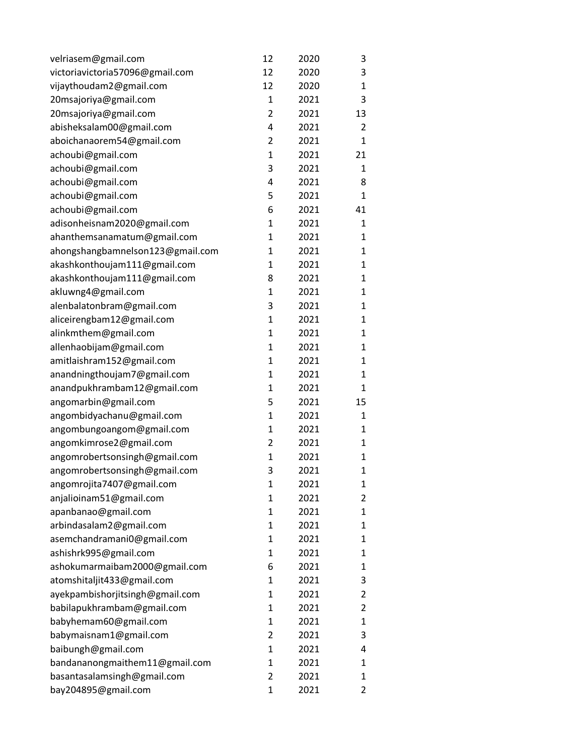| velriasem@gmail.com              | 12             | 2020 | 3              |
|----------------------------------|----------------|------|----------------|
| victoriavictoria57096@gmail.com  | 12             | 2020 | 3              |
| vijaythoudam2@gmail.com          | 12             | 2020 | $\mathbf{1}$   |
| 20msajoriya@gmail.com            | $\mathbf{1}$   | 2021 | 3              |
| 20msajoriya@gmail.com            | $\overline{2}$ | 2021 | 13             |
| abisheksalam00@gmail.com         | 4              | 2021 | $\overline{2}$ |
| aboichanaorem54@gmail.com        | $\overline{2}$ | 2021 | $\mathbf{1}$   |
| achoubi@gmail.com                | $\mathbf{1}$   | 2021 | 21             |
| achoubi@gmail.com                | 3              | 2021 | $\mathbf{1}$   |
| achoubi@gmail.com                | 4              | 2021 | 8              |
| achoubi@gmail.com                | 5              | 2021 | $\mathbf{1}$   |
| achoubi@gmail.com                | 6              | 2021 | 41             |
| adisonheisnam2020@gmail.com      | 1              | 2021 | $\mathbf{1}$   |
| ahanthemsanamatum@gmail.com      | $\mathbf 1$    | 2021 | $\mathbf{1}$   |
| ahongshangbamnelson123@gmail.com | 1              | 2021 | 1              |
| akashkonthoujam111@gmail.com     | 1              | 2021 | 1              |
| akashkonthoujam111@gmail.com     | 8              | 2021 | $\mathbf{1}$   |
| akluwng4@gmail.com               | $\mathbf{1}$   | 2021 | $\mathbf{1}$   |
| alenbalatonbram@gmail.com        | 3              | 2021 | $\mathbf{1}$   |
| aliceirengbam12@gmail.com        | $\mathbf{1}$   | 2021 | 1              |
| alinkmthem@gmail.com             | $\mathbf{1}$   | 2021 | 1              |
| allenhaobijam@gmail.com          | $\mathbf{1}$   | 2021 | $\mathbf{1}$   |
| amitlaishram152@gmail.com        | $\mathbf{1}$   | 2021 | $\mathbf{1}$   |
| anandningthoujam7@gmail.com      | $\mathbf{1}$   | 2021 | $\mathbf{1}$   |
| anandpukhrambam12@gmail.com      | 1              | 2021 | 1              |
| angomarbin@gmail.com             | 5              | 2021 | 15             |
| angombidyachanu@gmail.com        | $\mathbf{1}$   | 2021 | $\mathbf{1}$   |
| angombungoangom@gmail.com        | $\mathbf{1}$   | 2021 | $\mathbf{1}$   |
| angomkimrose2@gmail.com          | $\overline{2}$ | 2021 | $\mathbf{1}$   |
| angomrobertsonsingh@gmail.com    | $\mathbf{1}$   | 2021 | 1              |
| angomrobertsonsingh@gmail.com    | 3              | 2021 | $\mathbf{1}$   |
| angomrojita7407@gmail.com        | $\mathbf{1}$   | 2021 | 1              |
| anjalioinam51@gmail.com          | 1              | 2021 | 2              |
| apanbanao@gmail.com              | 1              | 2021 | 1              |
| arbindasalam2@gmail.com          | 1              | 2021 | 1              |
| asemchandramani0@gmail.com       | 1              | 2021 | 1              |
| ashishrk995@gmail.com            | 1              | 2021 | 1              |
| ashokumarmaibam2000@gmail.com    | 6              | 2021 | 1              |
| atomshitaljit433@gmail.com       | 1              | 2021 | 3              |
| ayekpambishorjitsingh@gmail.com  | 1              | 2021 | $\overline{2}$ |
| babilapukhrambam@gmail.com       | 1              | 2021 | $\overline{2}$ |
| babyhemam60@gmail.com            | 1              | 2021 | $\mathbf{1}$   |
| babymaisnam1@gmail.com           | 2              | 2021 | 3              |
| baibungh@gmail.com               | 1              | 2021 | 4              |
| bandananongmaithem11@gmail.com   | 1              | 2021 | 1              |
| basantasalamsingh@gmail.com      | $\overline{2}$ | 2021 | 1              |
| bay204895@gmail.com              | $\mathbf 1$    | 2021 | 2              |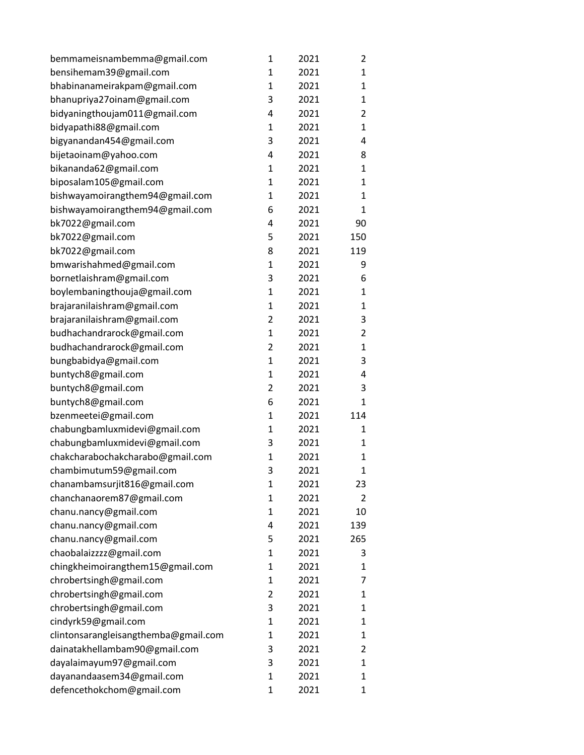| bemmameisnambemma@gmail.com          | 1              | 2021 | 2            |
|--------------------------------------|----------------|------|--------------|
| bensihemam39@gmail.com               | 1              | 2021 | $\mathbf{1}$ |
| bhabinanameirakpam@gmail.com         | $\mathbf{1}$   | 2021 | 1            |
| bhanupriya27oinam@gmail.com          | 3              | 2021 | 1            |
| bidyaningthoujam011@gmail.com        | 4              | 2021 | 2            |
| bidyapathi88@gmail.com               | 1              | 2021 | 1            |
| bigyanandan454@gmail.com             | 3              | 2021 | 4            |
| bijetaoinam@yahoo.com                | 4              | 2021 | 8            |
| bikananda62@gmail.com                | 1              | 2021 | 1            |
| biposalam105@gmail.com               | $\mathbf{1}$   | 2021 | $\mathbf{1}$ |
| bishwayamoirangthem94@gmail.com      | 1              | 2021 | 1            |
| bishwayamoirangthem94@gmail.com      | 6              | 2021 | $\mathbf{1}$ |
| bk7022@gmail.com                     | 4              | 2021 | 90           |
| bk7022@gmail.com                     | 5              | 2021 | 150          |
| bk7022@gmail.com                     | 8              | 2021 | 119          |
| bmwarishahmed@gmail.com              | 1              | 2021 | 9            |
| bornetlaishram@gmail.com             | 3              | 2021 | 6            |
| boylembaningthouja@gmail.com         | $\mathbf{1}$   | 2021 | $\mathbf{1}$ |
| brajaranilaishram@gmail.com          | $\mathbf{1}$   | 2021 | 1            |
| brajaranilaishram@gmail.com          | $\overline{2}$ | 2021 | 3            |
| budhachandrarock@gmail.com           | $\mathbf{1}$   | 2021 | 2            |
| budhachandrarock@gmail.com           | $\overline{2}$ | 2021 | $\mathbf{1}$ |
| bungbabidya@gmail.com                | $\mathbf{1}$   | 2021 | 3            |
| buntych8@gmail.com                   | $\mathbf{1}$   | 2021 | 4            |
| buntych8@gmail.com                   | $\overline{2}$ | 2021 | 3            |
| buntych8@gmail.com                   | 6              | 2021 | 1            |
| bzenmeetei@gmail.com                 | 1              | 2021 | 114          |
| chabungbamluxmidevi@gmail.com        | $\mathbf{1}$   | 2021 | 1            |
| chabungbamluxmidevi@gmail.com        | 3              | 2021 | 1            |
| chakcharabochakcharabo@gmail.com     | 1              | 2021 | $\mathbf{1}$ |
| chambimutum59@gmail.com              | 3              | 2021 | $\mathbf{1}$ |
| chanambamsurjit816@gmail.com         | $\mathbf{1}$   | 2021 | 23           |
| chanchanaorem87@gmail.com            | $\mathbf{1}$   | 2021 | 2            |
| chanu.nancy@gmail.com                | $\mathbf{1}$   | 2021 | 10           |
| chanu.nancy@gmail.com                | 4              | 2021 | 139          |
| chanu.nancy@gmail.com                | 5              | 2021 | 265          |
| chaobalaizzzz@gmail.com              | 1              | 2021 | 3            |
| chingkheimoirangthem15@gmail.com     | 1              | 2021 | 1            |
| chrobertsingh@gmail.com              | $\mathbf{1}$   | 2021 | 7            |
| chrobertsingh@gmail.com              | $\overline{2}$ | 2021 | 1            |
| chrobertsingh@gmail.com              | 3              | 2021 | 1            |
| cindyrk59@gmail.com                  | 1              | 2021 | 1            |
| clintonsarangleisangthemba@gmail.com | 1              | 2021 | 1            |
| dainatakhellambam90@gmail.com        | 3              | 2021 | 2            |
| dayalaimayum97@gmail.com             | 3              | 2021 | $\mathbf{1}$ |
| dayanandaasem34@gmail.com            | 1              | 2021 | 1            |
| defencethokchom@gmail.com            | 1              | 2021 | $\mathbf{1}$ |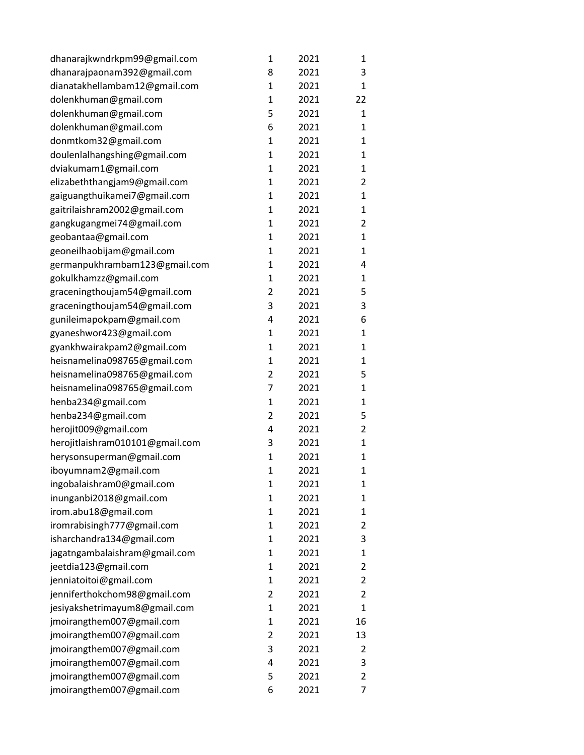| dhanarajkwndrkpm99@gmail.com    | 1              | 2021 | 1            |
|---------------------------------|----------------|------|--------------|
| dhanarajpaonam392@gmail.com     | 8              | 2021 | 3            |
| dianatakhellambam12@gmail.com   | $\mathbf{1}$   | 2021 | 1            |
| dolenkhuman@gmail.com           | $\mathbf{1}$   | 2021 | 22           |
| dolenkhuman@gmail.com           | 5              | 2021 | 1            |
| dolenkhuman@gmail.com           | 6              | 2021 | 1            |
| donmtkom32@gmail.com            | $\mathbf{1}$   | 2021 | 1            |
| doulenlalhangshing@gmail.com    | $\mathbf{1}$   | 2021 | 1            |
| dviakumam1@gmail.com            | $\mathbf{1}$   | 2021 | 1            |
| elizabeththangjam9@gmail.com    | $\mathbf{1}$   | 2021 | 2            |
| gaiguangthuikamei7@gmail.com    | $\mathbf 1$    | 2021 | 1            |
| gaitrilaishram2002@gmail.com    | $\mathbf 1$    | 2021 | 1            |
| gangkugangmei74@gmail.com       | $\mathbf{1}$   | 2021 | 2            |
| geobantaa@gmail.com             | $\mathbf{1}$   | 2021 | $\mathbf{1}$ |
| geoneilhaobijam@gmail.com       | $\mathbf{1}$   | 2021 | 1            |
| germanpukhrambam123@gmail.com   | $\mathbf{1}$   | 2021 | 4            |
| gokulkhamzz@gmail.com           | $\mathbf 1$    | 2021 | 1            |
| graceningthoujam54@gmail.com    | $\overline{2}$ | 2021 | 5            |
| graceningthoujam54@gmail.com    | 3              | 2021 | 3            |
| gunileimapokpam@gmail.com       | 4              | 2021 | 6            |
| gyaneshwor423@gmail.com         | $\mathbf{1}$   | 2021 | 1            |
| gyankhwairakpam2@gmail.com      | $\mathbf 1$    | 2021 | 1            |
| heisnamelina098765@gmail.com    | $\mathbf{1}$   | 2021 | 1            |
| heisnamelina098765@gmail.com    | $\overline{2}$ | 2021 | 5            |
| heisnamelina098765@gmail.com    | 7              | 2021 | $\mathbf{1}$ |
| henba234@gmail.com              | $\mathbf{1}$   | 2021 | 1            |
| henba234@gmail.com              | $\overline{2}$ | 2021 | 5            |
| herojit009@gmail.com            | 4              | 2021 | 2            |
| herojitlaishram010101@gmail.com | 3              | 2021 | $\mathbf{1}$ |
| herysonsuperman@gmail.com       | $\mathbf{1}$   | 2021 | $\mathbf{1}$ |
| iboyumnam2@gmail.com            | $\mathbf 1$    | 2021 | $\mathbf{1}$ |
| ingobalaishram0@gmail.com       | 1              | 2021 | 1            |
| inunganbi2018@gmail.com         | $\mathbf{1}$   | 2021 | 1            |
| irom.abu18@gmail.com            | $\mathbf{1}$   | 2021 | 1            |
| iromrabisingh777@gmail.com      | $\mathbf{1}$   | 2021 | 2            |
| isharchandra134@gmail.com       | 1              | 2021 | 3            |
| jagatngambalaishram@gmail.com   | 1              | 2021 | 1            |
| jeetdia123@gmail.com            | $\mathbf{1}$   | 2021 | 2            |
| jenniatoitoi@gmail.com          | $\mathbf{1}$   | 2021 | 2            |
| jenniferthokchom98@gmail.com    | $\overline{2}$ | 2021 | 2            |
| jesiyakshetrimayum8@gmail.com   | 1              | 2021 | 1            |
| jmoirangthem007@gmail.com       | 1              | 2021 | 16           |
| jmoirangthem007@gmail.com       | 2              | 2021 | 13           |
| jmoirangthem007@gmail.com       | 3              | 2021 | 2            |
| jmoirangthem007@gmail.com       | 4              | 2021 | 3            |
| jmoirangthem007@gmail.com       | 5              | 2021 | 2            |
| jmoirangthem007@gmail.com       | 6              | 2021 | 7            |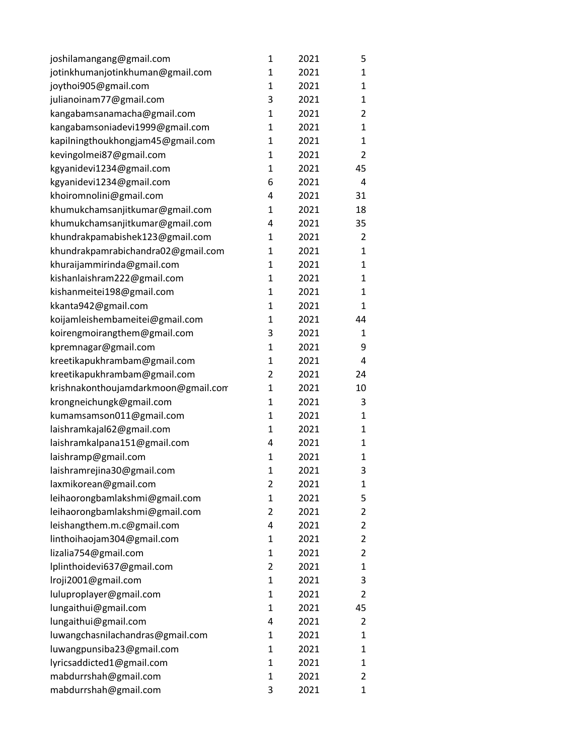| joshilamangang@gmail.com            | 1              | 2021 | 5              |
|-------------------------------------|----------------|------|----------------|
| jotinkhumanjotinkhuman@gmail.com    | $\mathbf{1}$   | 2021 | 1              |
| joythoi905@gmail.com                | 1              | 2021 | $\mathbf{1}$   |
| julianoinam77@gmail.com             | 3              | 2021 | 1              |
| kangabamsanamacha@gmail.com         | $\mathbf{1}$   | 2021 | 2              |
| kangabamsoniadevi1999@gmail.com     | 1              | 2021 | 1              |
| kapilningthoukhongjam45@gmail.com   | $\mathbf{1}$   | 2021 | $\mathbf{1}$   |
| kevingolmei87@gmail.com             | $\mathbf 1$    | 2021 | $\overline{2}$ |
| kgyanidevi1234@gmail.com            | $\mathbf{1}$   | 2021 | 45             |
| kgyanidevi1234@gmail.com            | 6              | 2021 | 4              |
| khoiromnolini@gmail.com             | 4              | 2021 | 31             |
| khumukchamsanjitkumar@gmail.com     | $\mathbf{1}$   | 2021 | 18             |
| khumukchamsanjitkumar@gmail.com     | 4              | 2021 | 35             |
| khundrakpamabishek123@gmail.com     | $\mathbf 1$    | 2021 | $\overline{2}$ |
| khundrakpamrabichandra02@gmail.com  | $\mathbf 1$    | 2021 | 1              |
| khuraijammirinda@gmail.com          | $\mathbf 1$    | 2021 | 1              |
| kishanlaishram222@gmail.com         | $\mathbf{1}$   | 2021 | $\mathbf{1}$   |
| kishanmeitei198@gmail.com           | $\mathbf 1$    | 2021 | 1              |
| kkanta942@gmail.com                 | $\mathbf 1$    | 2021 | $\mathbf{1}$   |
| koijamleishembameitei@gmail.com     | $\mathbf 1$    | 2021 | 44             |
| koirengmoirangthem@gmail.com        | 3              | 2021 | 1              |
| kpremnagar@gmail.com                | $\mathbf{1}$   | 2021 | 9              |
| kreetikapukhrambam@gmail.com        | $\mathbf 1$    | 2021 | 4              |
| kreetikapukhrambam@gmail.com        | $\overline{2}$ | 2021 | 24             |
| krishnakonthoujamdarkmoon@gmail.com | $\mathbf{1}$   | 2021 | 10             |
| krongneichungk@gmail.com            | $\mathbf 1$    | 2021 | 3              |
| kumamsamson011@gmail.com            | 1              | 2021 | $\mathbf{1}$   |
| laishramkajal62@gmail.com           | 1              | 2021 | 1              |
| laishramkalpana151@gmail.com        | 4              | 2021 | 1              |
| laishramp@gmail.com                 | $\mathbf{1}$   | 2021 | 1              |
| laishramrejina30@gmail.com          | $\mathbf{1}$   | 2021 | 3              |
| laxmikorean@gmail.com               | 2              | 2021 | 1              |
| leihaorongbamlakshmi@gmail.com      | $\mathbf{1}$   | 2021 | 5              |
| leihaorongbamlakshmi@gmail.com      | $\overline{2}$ | 2021 | 2              |
| leishangthem.m.c@gmail.com          | 4              | 2021 | $\overline{2}$ |
| linthoihaojam304@gmail.com          | 1              | 2021 | $\overline{2}$ |
| lizalia754@gmail.com                | 1              | 2021 | $\overline{2}$ |
| lplinthoidevi637@gmail.com          | 2              | 2021 | 1              |
| Iroji2001@gmail.com                 | 1              | 2021 | 3              |
| luluproplayer@gmail.com             | 1              | 2021 | 2              |
| lungaithui@gmail.com                | $\mathbf{1}$   | 2021 | 45             |
| lungaithui@gmail.com                | 4              | 2021 | $\overline{2}$ |
| luwangchasnilachandras@gmail.com    | 1              | 2021 | 1              |
| luwangpunsiba23@gmail.com           | 1              | 2021 | 1              |
| lyricsaddicted1@gmail.com           | 1              | 2021 | 1              |
| mabdurrshah@gmail.com               | 1              | 2021 | 2              |
| mabdurrshah@gmail.com               | 3              | 2021 | $\mathbf{1}$   |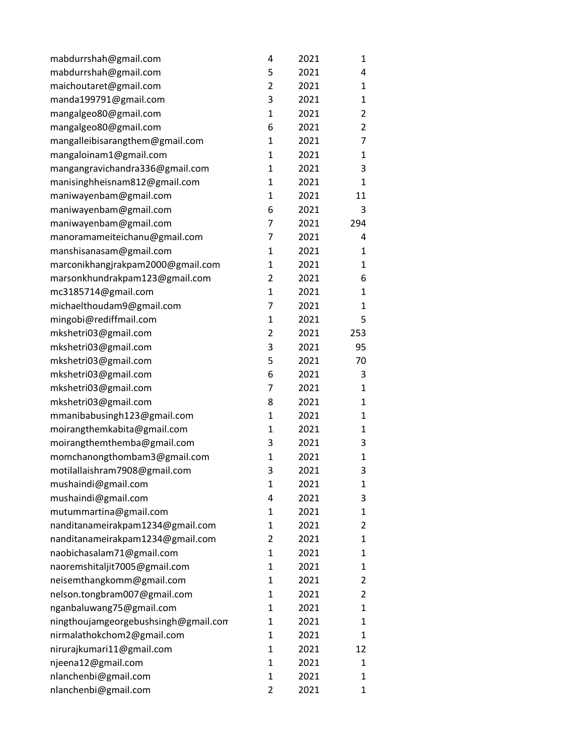| mabdurrshah@gmail.com                | 4              | 2021 | 1              |
|--------------------------------------|----------------|------|----------------|
| mabdurrshah@gmail.com                | 5              | 2021 | 4              |
| maichoutaret@gmail.com               | $\overline{2}$ | 2021 | 1              |
| manda199791@gmail.com                | 3              | 2021 | $\mathbf{1}$   |
| mangalgeo80@gmail.com                | 1              | 2021 | $\overline{2}$ |
| mangalgeo80@gmail.com                | 6              | 2021 | 2              |
| mangalleibisarangthem@gmail.com      | 1              | 2021 | 7              |
| mangaloinam1@gmail.com               | $\mathbf{1}$   | 2021 | 1              |
| mangangravichandra336@gmail.com      | $\mathbf{1}$   | 2021 | 3              |
| manisinghheisnam812@gmail.com        | 1              | 2021 | $\mathbf{1}$   |
| maniwayenbam@gmail.com               | $\mathbf{1}$   | 2021 | 11             |
| maniwayenbam@gmail.com               | 6              | 2021 | 3              |
| maniwayenbam@gmail.com               | $\overline{7}$ | 2021 | 294            |
| manoramameiteichanu@gmail.com        | 7              | 2021 | 4              |
| manshisanasam@gmail.com              | $\mathbf 1$    | 2021 | $\mathbf{1}$   |
| marconikhangjrakpam2000@gmail.com    | $\mathbf 1$    | 2021 | 1              |
| marsonkhundrakpam123@gmail.com       | 2              | 2021 | 6              |
| mc3185714@gmail.com                  | $\mathbf{1}$   | 2021 | $\mathbf{1}$   |
| michaelthoudam9@gmail.com            | 7              | 2021 | 1              |
| mingobi@rediffmail.com               | $\mathbf 1$    | 2021 | 5              |
| mkshetri03@gmail.com                 | $\overline{2}$ | 2021 | 253            |
| mkshetri03@gmail.com                 | 3              | 2021 | 95             |
| mkshetri03@gmail.com                 | 5              | 2021 | 70             |
| mkshetri03@gmail.com                 | 6              | 2021 | 3              |
| mkshetri03@gmail.com                 | 7              | 2021 | $\mathbf{1}$   |
| mkshetri03@gmail.com                 | 8              | 2021 | 1              |
| mmanibabusingh123@gmail.com          | $\mathbf 1$    | 2021 | 1              |
| moirangthemkabita@gmail.com          | $\mathbf{1}$   | 2021 | $\mathbf{1}$   |
| moirangthemthemba@gmail.com          | 3              | 2021 | 3              |
| momchanongthombam3@gmail.com         | $\mathbf{1}$   | 2021 | $\mathbf{1}$   |
| motilallaishram7908@gmail.com        | 3              | 2021 | 3              |
| mushaindi@gmail.com                  | 1              | 2021 | $\mathbf 1$    |
| mushaindi@gmail.com                  | 4              | 2021 | 3              |
| mutummartina@gmail.com               | 1              | 2021 | 1              |
| nanditanameirakpam1234@gmail.com     | $\mathbf 1$    | 2021 | $\overline{2}$ |
| nanditanameirakpam1234@gmail.com     | 2              | 2021 | 1              |
| naobichasalam71@gmail.com            | $\mathbf 1$    | 2021 | 1              |
| naoremshitaljit7005@gmail.com        | $\mathbf 1$    | 2021 | 1              |
| neisemthangkomm@gmail.com            | 1              | 2021 | 2              |
| nelson.tongbram007@gmail.com         | $\mathbf 1$    | 2021 | $\overline{2}$ |
| nganbaluwang75@gmail.com             | 1              | 2021 | 1              |
| ningthoujamgeorgebushsingh@gmail.com | $\mathbf 1$    | 2021 | 1              |
| nirmalathokchom2@gmail.com           | 1              | 2021 | 1              |
| nirurajkumari11@gmail.com            | $\mathbf{1}$   | 2021 | 12             |
| njeena12@gmail.com                   | $\mathbf 1$    | 2021 | 1              |
| nlanchenbi@gmail.com                 | 1              | 2021 | 1              |
| nlanchenbi@gmail.com                 | $\overline{2}$ | 2021 | 1              |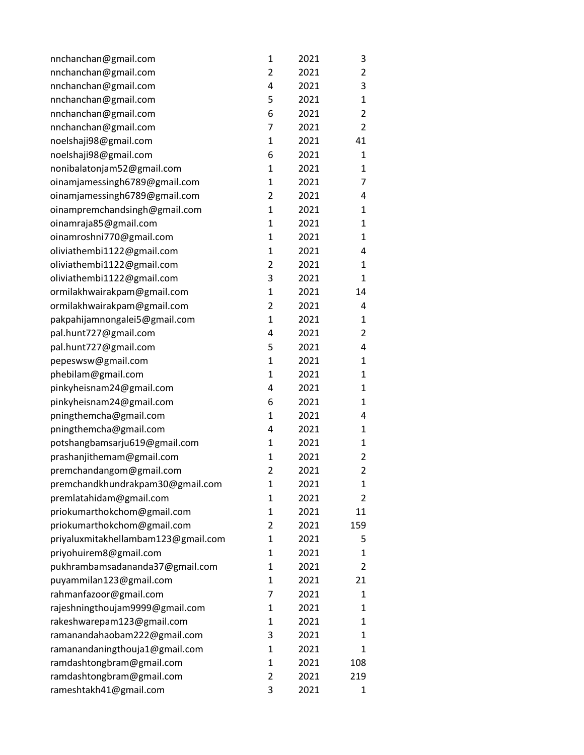| nnchanchan@gmail.com                | $\mathbf 1$    | 2021 | 3              |
|-------------------------------------|----------------|------|----------------|
| nnchanchan@gmail.com                | $\overline{2}$ | 2021 | 2              |
| nnchanchan@gmail.com                | 4              | 2021 | 3              |
| nnchanchan@gmail.com                | 5              | 2021 | 1              |
| nnchanchan@gmail.com                | 6              | 2021 | $\overline{2}$ |
| nnchanchan@gmail.com                | 7              | 2021 | $\overline{2}$ |
| noelshaji98@gmail.com               | $\mathbf{1}$   | 2021 | 41             |
| noelshaji98@gmail.com               | 6              | 2021 | 1              |
| nonibalatonjam52@gmail.com          | $\mathbf{1}$   | 2021 | 1              |
| oinamjamessingh6789@gmail.com       | 1              | 2021 | 7              |
| oinamjamessingh6789@gmail.com       | 2              | 2021 | 4              |
| oinampremchandsingh@gmail.com       | 1              | 2021 | 1              |
| oinamraja85@gmail.com               | $\mathbf 1$    | 2021 | $\mathbf{1}$   |
| oinamroshni770@gmail.com            | $\mathbf{1}$   | 2021 | 1              |
| oliviathembi1122@gmail.com          | 1              | 2021 | 4              |
| oliviathembi1122@gmail.com          | $\overline{2}$ | 2021 | 1              |
| oliviathembi1122@gmail.com          | 3              | 2021 | 1              |
| ormilakhwairakpam@gmail.com         | $\mathbf 1$    | 2021 | 14             |
| ormilakhwairakpam@gmail.com         | $\overline{2}$ | 2021 | 4              |
| pakpahijamnongalei5@gmail.com       | $\mathbf{1}$   | 2021 | 1              |
| pal.hunt727@gmail.com               | 4              | 2021 | 2              |
| pal.hunt727@gmail.com               | 5              | 2021 | 4              |
| pepeswsw@gmail.com                  | $\mathbf 1$    | 2021 | $\mathbf{1}$   |
| phebilam@gmail.com                  | $\mathbf{1}$   | 2021 | 1              |
| pinkyheisnam24@gmail.com            | 4              | 2021 | $\mathbf{1}$   |
| pinkyheisnam24@gmail.com            | 6              | 2021 | 1              |
| pningthemcha@gmail.com              | 1              | 2021 | 4              |
| pningthemcha@gmail.com              | 4              | 2021 | $\mathbf{1}$   |
| potshangbamsarju619@gmail.com       | 1              | 2021 | 1              |
| prashanjithemam@gmail.com           | 1              | 2021 | 2              |
| premchandangom@gmail.com            | $\overline{2}$ | 2021 | 2              |
| premchandkhundrakpam30@gmail.com    | $\mathbf 1$    | 2021 | 1              |
| premlatahidam@gmail.com             | 1              | 2021 | 2              |
| priokumarthokchom@gmail.com         | 1              | 2021 | 11             |
| priokumarthokchom@gmail.com         | 2              | 2021 | 159            |
| priyaluxmitakhellambam123@gmail.com | 1              | 2021 | 5              |
| priyohuirem8@gmail.com              | $\mathbf{1}$   | 2021 | 1              |
| pukhrambamsadananda37@gmail.com     | $\mathbf{1}$   | 2021 | 2              |
| puyammilan123@gmail.com             | 1              | 2021 | 21             |
| rahmanfazoor@gmail.com              | 7              | 2021 | 1              |
| rajeshningthoujam9999@gmail.com     | 1              | 2021 | 1              |
| rakeshwarepam123@gmail.com          | 1              | 2021 | 1              |
| ramanandahaobam222@gmail.com        | 3              | 2021 | 1              |
| ramanandaningthouja1@gmail.com      | 1              | 2021 | 1              |
| ramdashtongbram@gmail.com           | 1              | 2021 | 108            |
| ramdashtongbram@gmail.com           | 2              | 2021 | 219            |
| rameshtakh41@gmail.com              | 3              | 2021 | 1              |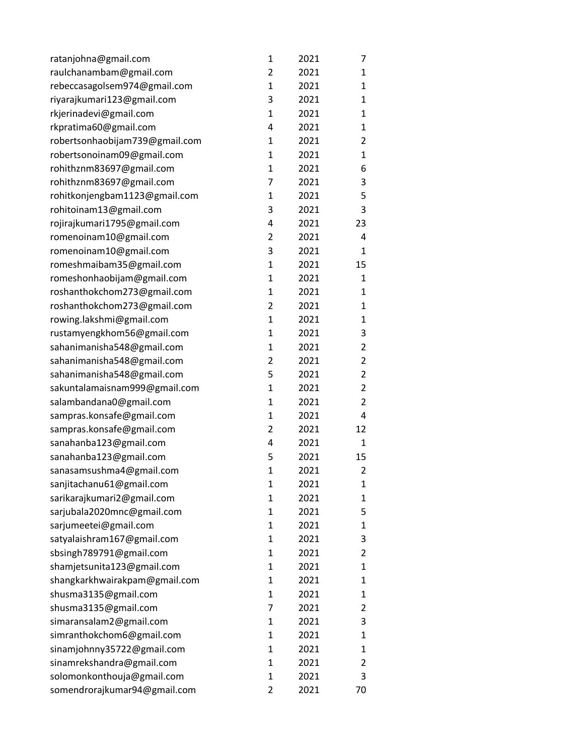| ratanjohna@gmail.com           | 1              | 2021 | 7              |
|--------------------------------|----------------|------|----------------|
| raulchanambam@gmail.com        | $\overline{2}$ | 2021 | 1              |
| rebeccasagolsem974@gmail.com   | $\mathbf{1}$   | 2021 | 1              |
| riyarajkumari123@gmail.com     | 3              | 2021 | 1              |
| rkjerinadevi@gmail.com         | $\mathbf{1}$   | 2021 | $\mathbf{1}$   |
| rkpratima60@gmail.com          | 4              | 2021 | 1              |
| robertsonhaobijam739@gmail.com | 1              | 2021 | 2              |
| robertsonoinam09@gmail.com     | $\mathbf{1}$   | 2021 | 1              |
| rohithznm83697@gmail.com       | $\mathbf{1}$   | 2021 | 6              |
| rohithznm83697@gmail.com       | 7              | 2021 | 3              |
| rohitkonjengbam1123@gmail.com  | 1              | 2021 | 5              |
| rohitoinam13@gmail.com         | 3              | 2021 | 3              |
| rojirajkumari1795@gmail.com    | 4              | 2021 | 23             |
| romenoinam10@gmail.com         | $\overline{2}$ | 2021 | 4              |
| romenoinam10@gmail.com         | 3              | 2021 | $\mathbf{1}$   |
| romeshmaibam35@gmail.com       | 1              | 2021 | 15             |
| romeshonhaobijam@gmail.com     | $\mathbf{1}$   | 2021 | 1              |
| roshanthokchom273@gmail.com    | $\mathbf{1}$   | 2021 | 1              |
| roshanthokchom273@gmail.com    | $\overline{2}$ | 2021 | 1              |
| rowing.lakshmi@gmail.com       | $\mathbf{1}$   | 2021 | 1              |
| rustamyengkhom56@gmail.com     | 1              | 2021 | 3              |
| sahanimanisha548@gmail.com     | $\mathbf{1}$   | 2021 | 2              |
| sahanimanisha548@gmail.com     | 2              | 2021 | $\overline{2}$ |
| sahanimanisha548@gmail.com     | 5              | 2021 | 2              |
| sakuntalamaisnam999@gmail.com  | $\mathbf{1}$   | 2021 | $\overline{2}$ |
| salambandana0@gmail.com        | 1              | 2021 | $\overline{2}$ |
| sampras.konsafe@gmail.com      | $\mathbf{1}$   | 2021 | 4              |
| sampras.konsafe@gmail.com      | $\overline{2}$ | 2021 | 12             |
| sanahanba123@gmail.com         | 4              | 2021 | $\mathbf{1}$   |
| sanahanba123@gmail.com         | 5              | 2021 | 15             |
| sanasamsushma4@gmail.com       | $\mathbf 1$    | 2021 | $\overline{2}$ |
| sanjitachanu61@gmail.com       | $\overline{1}$ | 2021 | 1              |
| sarikarajkumari2@gmail.com     | 1              | 2021 | 1              |
| sarjubala2020mnc@gmail.com     | 1              | 2021 | 5              |
| sarjumeetei@gmail.com          | $\mathbf{1}$   | 2021 | 1              |
| satyalaishram167@gmail.com     | 1              | 2021 | 3              |
| sbsingh789791@gmail.com        | 1              | 2021 | $\overline{2}$ |
| shamjetsunita123@gmail.com     | 1              | 2021 | 1              |
| shangkarkhwairakpam@gmail.com  | 1              | 2021 | 1              |
| shusma3135@gmail.com           | $\mathbf{1}$   | 2021 | 1              |
| shusma3135@gmail.com           | 7              | 2021 | 2              |
| simaransalam2@gmail.com        | 1              | 2021 | 3              |
| simranthokchom6@gmail.com      | 1              | 2021 | 1              |
| sinamjohnny35722@gmail.com     | 1              | 2021 | 1              |
| sinamrekshandra@gmail.com      | 1              | 2021 | 2              |
| solomonkonthouja@gmail.com     | 1              | 2021 | 3              |
| somendrorajkumar94@gmail.com   | 2              | 2021 | 70             |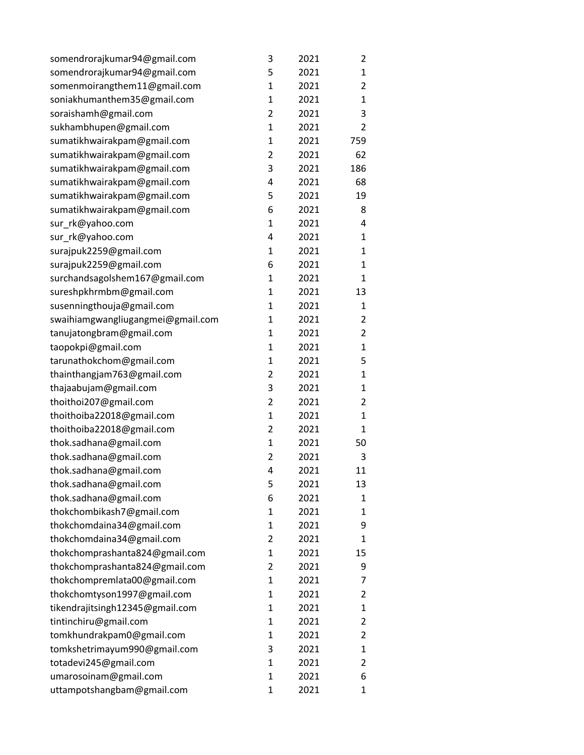| somendrorajkumar94@gmail.com      | 3              | 2021 | 2              |
|-----------------------------------|----------------|------|----------------|
| somendrorajkumar94@gmail.com      | 5              | 2021 | 1              |
| somenmoirangthem11@gmail.com      | $\mathbf{1}$   | 2021 | 2              |
| soniakhumanthem35@gmail.com       | 1              | 2021 | 1              |
| soraishamh@gmail.com              | $\overline{2}$ | 2021 | 3              |
| sukhambhupen@gmail.com            | 1              | 2021 | 2              |
| sumatikhwairakpam@gmail.com       | 1              | 2021 | 759            |
| sumatikhwairakpam@gmail.com       | $\overline{2}$ | 2021 | 62             |
| sumatikhwairakpam@gmail.com       | 3              | 2021 | 186            |
| sumatikhwairakpam@gmail.com       | 4              | 2021 | 68             |
| sumatikhwairakpam@gmail.com       | 5              | 2021 | 19             |
| sumatikhwairakpam@gmail.com       | 6              | 2021 | 8              |
| sur_rk@yahoo.com                  | $\mathbf{1}$   | 2021 | 4              |
| sur_rk@yahoo.com                  | 4              | 2021 | 1              |
| surajpuk2259@gmail.com            | 1              | 2021 | $\mathbf{1}$   |
| surajpuk2259@gmail.com            | 6              | 2021 | 1              |
| surchandsagolshem167@gmail.com    | 1              | 2021 | $\mathbf{1}$   |
| sureshpkhrmbm@gmail.com           | $\mathbf{1}$   | 2021 | 13             |
| susenningthouja@gmail.com         | 1              | 2021 | 1              |
| swaihiamgwangliugangmei@gmail.com | 1              | 2021 | $\overline{2}$ |
| tanujatongbram@gmail.com          | 1              | 2021 | $\overline{2}$ |
| taopokpi@gmail.com                | 1              | 2021 | $\mathbf{1}$   |
| tarunathokchom@gmail.com          | $\mathbf{1}$   | 2021 | 5              |
| thainthangjam763@gmail.com        | $\overline{2}$ | 2021 | $\mathbf{1}$   |
| thajaabujam@gmail.com             | 3              | 2021 | $\mathbf{1}$   |
| thoithoi207@gmail.com             | $\overline{2}$ | 2021 | 2              |
| thoithoiba22018@gmail.com         | 1              | 2021 | $\mathbf{1}$   |
| thoithoiba22018@gmail.com         | $\overline{2}$ | 2021 | 1              |
| thok.sadhana@gmail.com            | $\mathbf{1}$   | 2021 | 50             |
| thok.sadhana@gmail.com            | $\overline{2}$ | 2021 | 3              |
| thok.sadhana@gmail.com            | 4              | 2021 | 11             |
| thok.sadhana@gmail.com            | 5              | 2021 | 13             |
| thok.sadhana@gmail.com            | 6              | 2021 | 1              |
| thokchombikash7@gmail.com         | 1              | 2021 | 1              |
| thokchomdaina34@gmail.com         | 1              | 2021 | 9              |
| thokchomdaina34@gmail.com         | 2              | 2021 | 1              |
| thokchomprashanta824@gmail.com    | 1              | 2021 | 15             |
| thokchomprashanta824@gmail.com    | 2              | 2021 | 9              |
| thokchompremlata00@gmail.com      | $\mathbf{1}$   | 2021 | 7              |
| thokchomtyson1997@gmail.com       | $\mathbf{1}$   | 2021 | 2              |
| tikendrajitsingh12345@gmail.com   | 1              | 2021 | 1              |
| tintinchiru@gmail.com             | 1              | 2021 | $\overline{2}$ |
| tomkhundrakpam0@gmail.com         | $\mathbf{1}$   | 2021 | 2              |
| tomkshetrimayum990@gmail.com      | 3              | 2021 | 1              |
| totadevi245@gmail.com             | $\mathbf{1}$   | 2021 | $\overline{2}$ |
| umarosoinam@gmail.com             | 1              | 2021 | 6              |
| uttampotshangbam@gmail.com        | 1              | 2021 | 1              |